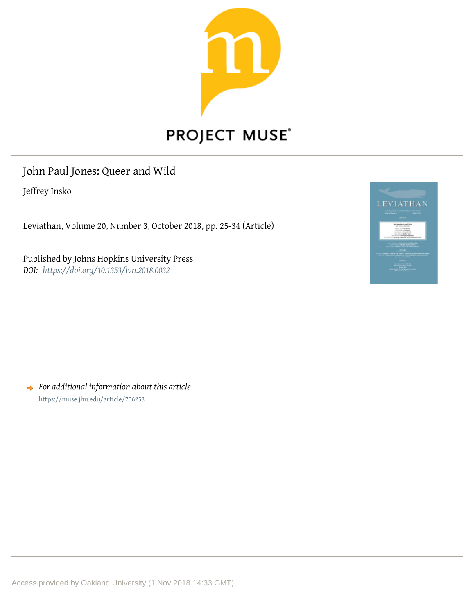

# PROJECT MUSE®

## John Paul Jones: Queer and Wild

Jeffrey Insko

Leviathan, Volume 20, Number 3, October 2018, pp. 25-34 (Article)

Published by Johns Hopkins University Press *DOI: <https://doi.org/10.1353/lvn.2018.0032>*



*For additional information about this article* <https://muse.jhu.edu/article/706253>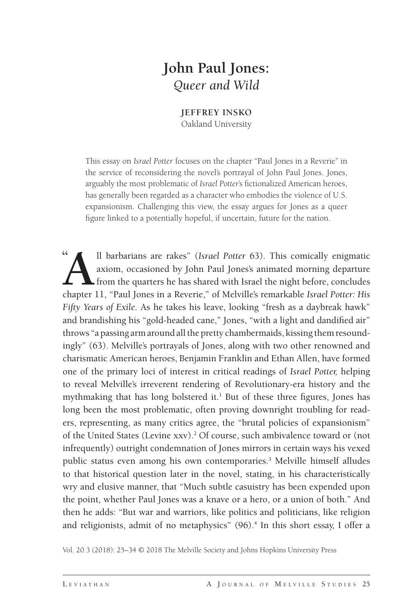### **John Paul Jones:** *Queer and Wild*

**JEFFREY INSKO** Oakland University

This essay on *Israel Potter* focuses on the chapter "Paul Jones in a Reverie" in the service of reconsidering the novel's portrayal of John Paul Jones. Jones, arguably the most problematic of *Israel Potter*'s fictionalized American heroes, has generally been regarded as a character who embodies the violence of U.S. expansionism. Challenging this view, the essay argues for Jones as a queer figure linked to a potentially hopeful, if uncertain, future for the nation.

**"** <sup>41</sup><br> **A**ll barbarians are rakes" (*Israel Potter* 63). This comically enigmatic<br>
axiom, occasioned by John Paul Jones's animated morning departure<br>
from the quarters he has shared with Israel the night before, concludes<br> axiom, occasioned by John Paul Jones's animated morning departure  $\Box$  from the quarters he has shared with Israel the night before, concludes chapter 11, "Paul Jones in a Reverie," of Melville's remarkable *Israel Potter: His Fifty Years of Exile*. As he takes his leave, looking "fresh as a daybreak hawk" and brandishing his "gold-headed cane," Jones, "with a light and dandified air" throws "a passing arm around all the pretty chambermaids, kissing them resoundingly" (63). Melville's portrayals of Jones, along with two other renowned and charismatic American heroes, Benjamin Franklin and Ethan Allen, have formed one of the primary loci of interest in critical readings of *Israel Potter,* helping to reveal Melville's irreverent rendering of Revolutionary-era history and the mythmaking that has long bolstered it.<sup>1</sup> But of these three figures, Jones has long been the most problematic, often proving downright troubling for readers, representing, as many critics agree, the "brutal policies of expansionism" of the United States (Levine xxv).<sup>2</sup> Of course, such ambivalence toward or (not infrequently) outright condemnation of Jones mirrors in certain ways his vexed public status even among his own contemporaries.<sup>3</sup> Melville himself alludes to that historical question later in the novel, stating, in his characteristically wry and elusive manner, that "Much subtle casuistry has been expended upon the point, whether Paul Jones was a knave or a hero, or a union of both." And then he adds: "But war and warriors, like politics and politicians, like religion and religionists, admit of no metaphysics" (96).<sup>4</sup> In this short essay, I offer a

Vol. 20.3 (2018): 25–34 © 2018 The Melville Society and Johns Hopkins University Press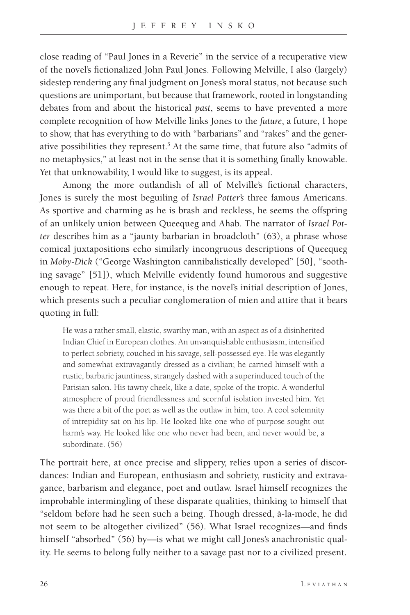close reading of "Paul Jones in a Reverie" in the service of a recuperative view of the novel's fictionalized John Paul Jones. Following Melville, I also (largely) sidestep rendering any final judgment on Jones's moral status, not because such questions are unimportant, but because that framework, rooted in longstanding debates from and about the historical *past*, seems to have prevented a more complete recognition of how Melville links Jones to the *future*, a future, I hope to show, that has everything to do with "barbarians" and "rakes" and the generative possibilities they represent.<sup>5</sup> At the same time, that future also "admits of no metaphysics," at least not in the sense that it is something finally knowable. Yet that unknowability, I would like to suggest, is its appeal.

Among the more outlandish of all of Melville's fictional characters, Jones is surely the most beguiling of *Israel Potter's* three famous Americans. As sportive and charming as he is brash and reckless, he seems the offspring of an unlikely union between Queequeg and Ahab. The narrator of *Israel Potter* describes him as a "jaunty barbarian in broadcloth" (63), a phrase whose comical juxtapositions echo similarly incongruous descriptions of Queequeg in *Moby-Dick* ("George Washington cannibalistically developed" [50], "soothing savage" [51]), which Melville evidently found humorous and suggestive enough to repeat. Here, for instance, is the novel's initial description of Jones, which presents such a peculiar conglomeration of mien and attire that it bears quoting in full:

He was a rather small, elastic, swarthy man, with an aspect as of a disinherited Indian Chief in European clothes. An unvanquishable enthusiasm, intensified to perfect sobriety, couched in his savage, self-possessed eye. He was elegantly and somewhat extravagantly dressed as a civilian; he carried himself with a rustic, barbaric jauntiness, strangely dashed with a superinduced touch of the Parisian salon. His tawny cheek, like a date, spoke of the tropic. A wonderful atmosphere of proud friendlessness and scornful isolation invested him. Yet was there a bit of the poet as well as the outlaw in him, too. A cool solemnity of intrepidity sat on his lip. He looked like one who of purpose sought out harm's way. He looked like one who never had been, and never would be, a subordinate. (56)

The portrait here, at once precise and slippery, relies upon a series of discordances: Indian and European, enthusiasm and sobriety, rusticity and extravagance, barbarism and elegance, poet and outlaw. Israel himself recognizes the improbable intermingling of these disparate qualities, thinking to himself that "seldom before had he seen such a being. Though dressed, à-la-mode, he did not seem to be altogether civilized" (56). What Israel recognizes—and finds himself "absorbed" (56) by—is what we might call Jones's anachronistic quality. He seems to belong fully neither to a savage past nor to a civilized present.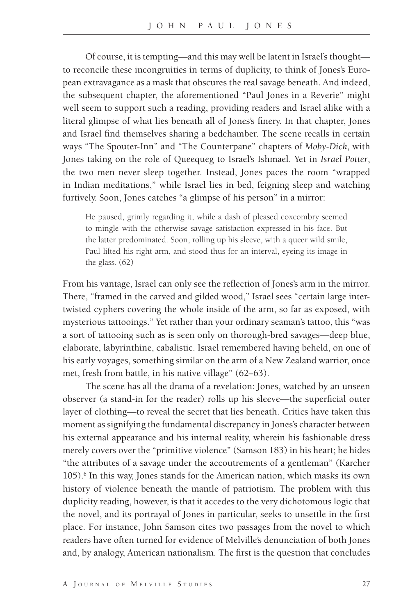Of course, it is tempting—and this may well be latent in Israel's thought to reconcile these incongruities in terms of duplicity, to think of Jones's European extravagance as a mask that obscures the real savage beneath. And indeed, the subsequent chapter, the aforementioned "Paul Jones in a Reverie" might well seem to support such a reading, providing readers and Israel alike with a literal glimpse of what lies beneath all of Jones's finery. In that chapter, Jones and Israel find themselves sharing a bedchamber. The scene recalls in certain ways "The Spouter-Inn" and "The Counterpane" chapters of *Moby-Dick*, with Jones taking on the role of Queequeg to Israel's Ishmael. Yet in *Israel Potter*, the two men never sleep together. Instead, Jones paces the room "wrapped in Indian meditations," while Israel lies in bed, feigning sleep and watching furtively. Soon, Jones catches "a glimpse of his person" in a mirror:

He paused, grimly regarding it, while a dash of pleased coxcombry seemed to mingle with the otherwise savage satisfaction expressed in his face. But the latter predominated. Soon, rolling up his sleeve, with a queer wild smile, Paul lifted his right arm, and stood thus for an interval, eyeing its image in the glass. (62)

From his vantage, Israel can only see the reflection of Jones's arm in the mirror. There, "framed in the carved and gilded wood," Israel sees "certain large intertwisted cyphers covering the whole inside of the arm, so far as exposed, with mysterious tattooings." Yet rather than your ordinary seaman's tattoo, this "was a sort of tattooing such as is seen only on thorough-bred savages—deep blue, elaborate, labyrinthine, cabalistic. Israel remembered having beheld, on one of his early voyages, something similar on the arm of a New Zealand warrior, once met, fresh from battle, in his native village" (62–63).

The scene has all the drama of a revelation: Jones, watched by an unseen observer (a stand-in for the reader) rolls up his sleeve—the superficial outer layer of clothing—to reveal the secret that lies beneath. Critics have taken this moment as signifying the fundamental discrepancy in Jones's character between his external appearance and his internal reality, wherein his fashionable dress merely covers over the "primitive violence" (Samson 183) in his heart; he hides "the attributes of a savage under the accoutrements of a gentleman" (Karcher 105).<sup>6</sup> In this way, Jones stands for the American nation, which masks its own history of violence beneath the mantle of patriotism. The problem with this duplicity reading, however, is that it accedes to the very dichotomous logic that the novel, and its portrayal of Jones in particular, seeks to unsettle in the first place. For instance, John Samson cites two passages from the novel to which readers have often turned for evidence of Melville's denunciation of both Jones and, by analogy, American nationalism. The first is the question that concludes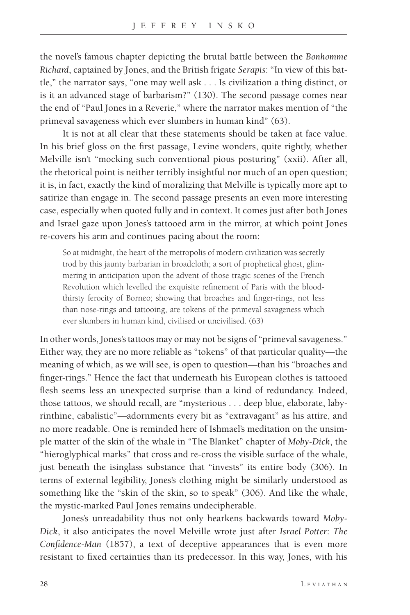the novel's famous chapter depicting the brutal battle between the *Bonhomme Richard*, captained by Jones, and the British frigate *Serapis*: "In view of this battle," the narrator says, "one may well ask . . . Is civilization a thing distinct, or is it an advanced stage of barbarism?" (130). The second passage comes near the end of "Paul Jones in a Reverie," where the narrator makes mention of "the primeval savageness which ever slumbers in human kind" (63).

It is not at all clear that these statements should be taken at face value. In his brief gloss on the first passage, Levine wonders, quite rightly, whether Melville isn't "mocking such conventional pious posturing" (xxii). After all, the rhetorical point is neither terribly insightful nor much of an open question; it is, in fact, exactly the kind of moralizing that Melville is typically more apt to satirize than engage in. The second passage presents an even more interesting case, especially when quoted fully and in context. It comes just after both Jones and Israel gaze upon Jones's tattooed arm in the mirror, at which point Jones re-covers his arm and continues pacing about the room:

So at midnight, the heart of the metropolis of modern civilization was secretly trod by this jaunty barbarian in broadcloth; a sort of prophetical ghost, glimmering in anticipation upon the advent of those tragic scenes of the French Revolution which levelled the exquisite refinement of Paris with the bloodthirsty ferocity of Borneo; showing that broaches and finger-rings, not less than nose-rings and tattooing, are tokens of the primeval savageness which ever slumbers in human kind, civilised or uncivilised. (63)

In other words, Jones's tattoos may or may not be signs of "primeval savageness." Either way, they are no more reliable as "tokens" of that particular quality—the meaning of which, as we will see, is open to question—than his "broaches and finger-rings." Hence the fact that underneath his European clothes is tattooed flesh seems less an unexpected surprise than a kind of redundancy. Indeed, those tattoos, we should recall, are "mysterious . . . deep blue, elaborate, labyrinthine, cabalistic"—adornments every bit as "extravagant" as his attire, and no more readable. One is reminded here of Ishmael's meditation on the unsimple matter of the skin of the whale in "The Blanket" chapter of *Moby-Dick*, the "hieroglyphical marks" that cross and re-cross the visible surface of the whale, just beneath the isinglass substance that "invests" its entire body (306). In terms of external legibility, Jones's clothing might be similarly understood as something like the "skin of the skin, so to speak" (306). And like the whale, the mystic-marked Paul Jones remains undecipherable.

Jones's unreadability thus not only hearkens backwards toward *Moby-Dick*, it also anticipates the novel Melville wrote just after *Israel Potter*: *The Confidence-Man* (1857), a text of deceptive appearances that is even more resistant to fixed certainties than its predecessor. In this way, Jones, with his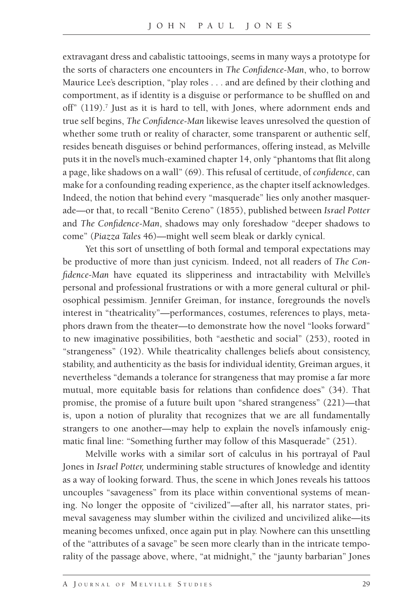extravagant dress and cabalistic tattooings, seems in many ways a prototype for the sorts of characters one encounters in *The Confidence-Man*, who, to borrow Maurice Lee's description, "play roles . . . and are defined by their clothing and comportment, as if identity is a disguise or performance to be shuffled on and off"  $(119)$ .<sup>7</sup> Just as it is hard to tell, with Jones, where adornment ends and true self begins, *The Confidence-Man* likewise leaves unresolved the question of whether some truth or reality of character, some transparent or authentic self, resides beneath disguises or behind performances, offering instead, as Melville puts it in the novel's much-examined chapter 14, only "phantoms that flit along a page, like shadows on a wall" (69). This refusal of certitude, of *confidence*, can make for a confounding reading experience, as the chapter itself acknowledges. Indeed, the notion that behind every "masquerade" lies only another masquerade—or that, to recall "Benito Cereno" (1855), published between *Israel Potter* and *The Confidence-Man*, shadows may only foreshadow "deeper shadows to come" (*Piazza Tales* 46)—might well seem bleak or darkly cynical.

Yet this sort of unsettling of both formal and temporal expectations may be productive of more than just cynicism. Indeed, not all readers of *The Confidence-Man* have equated its slipperiness and intractability with Melville's personal and professional frustrations or with a more general cultural or philosophical pessimism. Jennifer Greiman, for instance, foregrounds the novel's interest in "theatricality"—performances, costumes, references to plays, metaphors drawn from the theater—to demonstrate how the novel "looks forward" to new imaginative possibilities, both "aesthetic and social" (253), rooted in "strangeness" (192). While theatricality challenges beliefs about consistency, stability, and authenticity as the basis for individual identity, Greiman argues, it nevertheless "demands a tolerance for strangeness that may promise a far more mutual, more equitable basis for relations than confidence does" (34). That promise, the promise of a future built upon "shared strangeness" (221)—that is, upon a notion of plurality that recognizes that we are all fundamentally strangers to one another—may help to explain the novel's infamously enigmatic final line: "Something further may follow of this Masquerade" (251).

Melville works with a similar sort of calculus in his portrayal of Paul Jones in *Israel Potter,* undermining stable structures of knowledge and identity as a way of looking forward. Thus, the scene in which Jones reveals his tattoos uncouples "savageness" from its place within conventional systems of meaning. No longer the opposite of "civilized"—after all, his narrator states, primeval savageness may slumber within the civilized and uncivilized alike—its meaning becomes unfixed, once again put in play. Nowhere can this unsettling of the "attributes of a savage" be seen more clearly than in the intricate temporality of the passage above, where, "at midnight," the "jaunty barbarian" Jones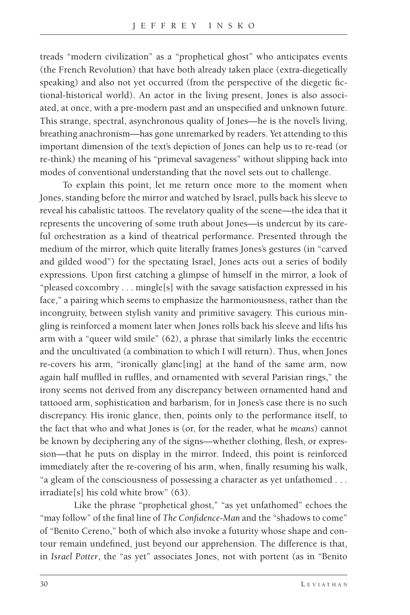treads "modern civilization" as a "prophetical ghost" who anticipates events (the French Revolution) that have both already taken place (extra-diegetically speaking) and also not yet occurred (from the perspective of the diegetic fictional-historical world). An actor in the living present, Jones is also associated, at once, with a pre-modern past and an unspecified and unknown future. This strange, spectral, asynchronous quality of Jones—he is the novel's living, breathing anachronism—has gone unremarked by readers. Yet attending to this important dimension of the text's depiction of Jones can help us to re-read (or re-think) the meaning of his "primeval savageness" without slipping back into modes of conventional understanding that the novel sets out to challenge.

To explain this point, let me return once more to the moment when Jones, standing before the mirror and watched by Israel, pulls back his sleeve to reveal his cabalistic tattoos. The revelatory quality of the scene—the idea that it represents the uncovering of some truth about Jones—is undercut by its careful orchestration as a kind of theatrical performance. Presented through the medium of the mirror, which quite literally frames Jones's gestures (in "carved and gilded wood") for the spectating Israel, Jones acts out a series of bodily expressions. Upon first catching a glimpse of himself in the mirror, a look of "pleased coxcombry . . . mingle[s] with the savage satisfaction expressed in his face," a pairing which seems to emphasize the harmoniousness, rather than the incongruity, between stylish vanity and primitive savagery. This curious mingling is reinforced a moment later when Jones rolls back his sleeve and lifts his arm with a "queer wild smile" (62), a phrase that similarly links the eccentric and the uncultivated (a combination to which I will return). Thus, when Jones re-covers his arm, "ironically glanc[ing] at the hand of the same arm, now again half muffled in ruffles, and ornamented with several Parisian rings," the irony seems not derived from any discrepancy between ornamented hand and tattooed arm, sophistication and barbarism, for in Jones's case there is no such discrepancy. His ironic glance, then, points only to the performance itself, to the fact that who and what Jones is (or, for the reader, what he *means*) cannot be known by deciphering any of the signs—whether clothing, flesh, or expression—that he puts on display in the mirror. Indeed, this point is reinforced immediately after the re-covering of his arm, when, finally resuming his walk, "a gleam of the consciousness of possessing a character as yet unfathomed . . . irradiate[s] his cold white brow" (63).

Like the phrase "prophetical ghost," "as yet unfathomed" echoes the "may follow" of the final line of *The Confidence-Man* and the "shadows to come" of "Benito Cereno," both of which also invoke a futurity whose shape and contour remain undefined, just beyond our apprehension. The difference is that, in *Israel Potter*, the "as yet" associates Jones, not with portent (as in "Benito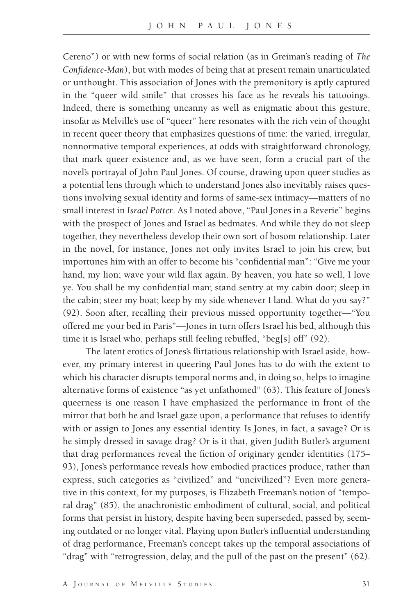Cereno") or with new forms of social relation (as in Greiman's reading of *The Confidence-Man*), but with modes of being that at present remain unarticulated or unthought. This association of Jones with the premonitory is aptly captured in the "queer wild smile" that crosses his face as he reveals his tattooings. Indeed, there is something uncanny as well as enigmatic about this gesture, insofar as Melville's use of "queer" here resonates with the rich vein of thought in recent queer theory that emphasizes questions of time: the varied, irregular, nonnormative temporal experiences, at odds with straightforward chronology, that mark queer existence and, as we have seen, form a crucial part of the novel's portrayal of John Paul Jones. Of course, drawing upon queer studies as a potential lens through which to understand Jones also inevitably raises questions involving sexual identity and forms of same-sex intimacy—matters of no small interest in *Israel Potter*. As I noted above, "Paul Jones in a Reverie" begins with the prospect of Jones and Israel as bedmates. And while they do not sleep together, they nevertheless develop their own sort of bosom relationship. Later in the novel, for instance, Jones not only invites Israel to join his crew, but importunes him with an offer to become his "confidential man": "Give me your hand, my lion; wave your wild flax again. By heaven, you hate so well, I love ye. You shall be my confidential man; stand sentry at my cabin door; sleep in the cabin; steer my boat; keep by my side whenever I land. What do you say?" (92). Soon after, recalling their previous missed opportunity together—"You offered me your bed in Paris"—Jones in turn offers Israel his bed, although this time it is Israel who, perhaps still feeling rebuffed, "beg[s] off" (92).

The latent erotics of Jones's flirtatious relationship with Israel aside, however, my primary interest in queering Paul Jones has to do with the extent to which his character disrupts temporal norms and, in doing so, helps to imagine alternative forms of existence "as yet unfathomed" (63). This feature of Jones's queerness is one reason I have emphasized the performance in front of the mirror that both he and Israel gaze upon, a performance that refuses to identify with or assign to Jones any essential identity. Is Jones, in fact, a savage? Or is he simply dressed in savage drag? Or is it that, given Judith Butler's argument that drag performances reveal the fiction of originary gender identities (175– 93), Jones's performance reveals how embodied practices produce, rather than express, such categories as "civilized" and "uncivilized"? Even more generative in this context, for my purposes, is Elizabeth Freeman's notion of "temporal drag" (85), the anachronistic embodiment of cultural, social, and political forms that persist in history, despite having been superseded, passed by, seeming outdated or no longer vital. Playing upon Butler's influential understanding of drag performance, Freeman's concept takes up the temporal associations of "drag" with "retrogression, delay, and the pull of the past on the present" (62).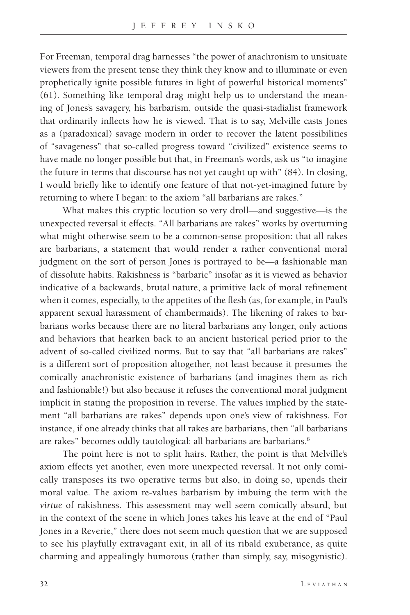For Freeman, temporal drag harnesses "the power of anachronism to unsituate viewers from the present tense they think they know and to illuminate or even prophetically ignite possible futures in light of powerful historical moments" (61). Something like temporal drag might help us to understand the meaning of Jones's savagery, his barbarism, outside the quasi-stadialist framework that ordinarily inflects how he is viewed. That is to say, Melville casts Jones as a (paradoxical) savage modern in order to recover the latent possibilities of "savageness" that so-called progress toward "civilized" existence seems to have made no longer possible but that, in Freeman's words, ask us "to imagine the future in terms that discourse has not yet caught up with" (84). In closing, I would briefly like to identify one feature of that not-yet-imagined future by returning to where I began: to the axiom "all barbarians are rakes."

What makes this cryptic locution so very droll—and suggestive—is the unexpected reversal it effects. "All barbarians are rakes" works by overturning what might otherwise seem to be a common-sense proposition: that all rakes are barbarians, a statement that would render a rather conventional moral judgment on the sort of person Jones is portrayed to be—a fashionable man of dissolute habits. Rakishness is "barbaric" insofar as it is viewed as behavior indicative of a backwards, brutal nature, a primitive lack of moral refinement when it comes, especially, to the appetites of the flesh (as, for example, in Paul's apparent sexual harassment of chambermaids). The likening of rakes to barbarians works because there are no literal barbarians any longer, only actions and behaviors that hearken back to an ancient historical period prior to the advent of so-called civilized norms. But to say that "all barbarians are rakes" is a different sort of proposition altogether, not least because it presumes the comically anachronistic existence of barbarians (and imagines them as rich and fashionable!) but also because it refuses the conventional moral judgment implicit in stating the proposition in reverse. The values implied by the statement "all barbarians are rakes" depends upon one's view of rakishness. For instance, if one already thinks that all rakes are barbarians, then "all barbarians are rakes" becomes oddly tautological: all barbarians are barbarians.<sup>8</sup>

The point here is not to split hairs. Rather, the point is that Melville's axiom effects yet another, even more unexpected reversal. It not only comically transposes its two operative terms but also, in doing so, upends their moral value. The axiom re-values barbarism by imbuing the term with the *virtue* of rakishness. This assessment may well seem comically absurd, but in the context of the scene in which Jones takes his leave at the end of "Paul Jones in a Reverie," there does not seem much question that we are supposed to see his playfully extravagant exit, in all of its ribald exuberance, as quite charming and appealingly humorous (rather than simply, say, misogynistic).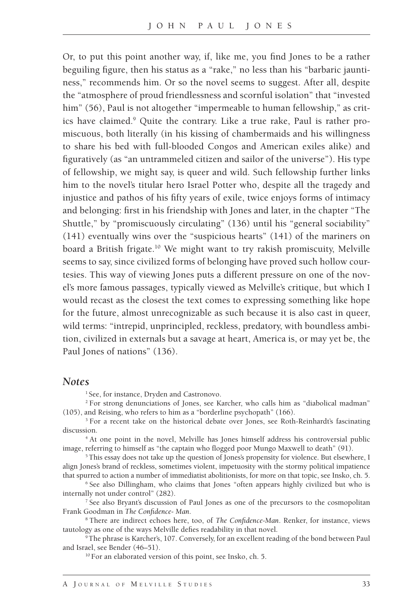Or, to put this point another way, if, like me, you find Jones to be a rather beguiling figure, then his status as a "rake," no less than his "barbaric jauntiness," recommends him. Or so the novel seems to suggest. After all, despite the "atmosphere of proud friendlessness and scornful isolation" that "invested him" (56), Paul is not altogether "impermeable to human fellowship," as critics have claimed.9 Quite the contrary. Like a true rake, Paul is rather promiscuous, both literally (in his kissing of chambermaids and his willingness to share his bed with full-blooded Congos and American exiles alike) and figuratively (as "an untrammeled citizen and sailor of the universe"). His type of fellowship, we might say, is queer and wild. Such fellowship further links him to the novel's titular hero Israel Potter who, despite all the tragedy and injustice and pathos of his fifty years of exile, twice enjoys forms of intimacy and belonging: first in his friendship with Jones and later, in the chapter "The Shuttle," by "promiscuously circulating" (136) until his "general sociability" (141) eventually wins over the "suspicious hearts" (141) of the mariners on board a British frigate.<sup>10</sup> We might want to try rakish promiscuity, Melville seems to say, since civilized forms of belonging have proved such hollow courtesies. This way of viewing Jones puts a different pressure on one of the novel's more famous passages, typically viewed as Melville's critique, but which I would recast as the closest the text comes to expressing something like hope for the future, almost unrecognizable as such because it is also cast in queer, wild terms: "intrepid, unprincipled, reckless, predatory, with boundless ambition, civilized in externals but a savage at heart, America is, or may yet be, the Paul Jones of nations" (136).

#### *Notes*

<sup>1</sup> See, for instance, Dryden and Castronovo.

2 For strong denunciations of Jones, see Karcher, who calls him as "diabolical madman" (105), and Reising, who refers to him as a "borderline psychopath" (166).

<sup>3</sup> For a recent take on the historical debate over Jones, see Roth-Reinhardt's fascinating discussion.

4 At one point in the novel, Melville has Jones himself address his controversial public image, referring to himself as "the captain who flogged poor Mungo Maxwell to death" (91).

<sup>5</sup> This essay does not take up the question of Jones's propensity for violence. But elsewhere, I align Jones's brand of reckless, sometimes violent, impetuosity with the stormy political impatience that spurred to action a number of immediatist abolitionists, for more on that topic, see Insko, ch. 5.

6 See also Dillingham, who claims that Jones "often appears highly civilized but who is internally not under control" (282).

7 See also Bryant's discussion of Paul Jones as one of the precursors to the cosmopolitan Frank Goodman in *The Confidence- Man*.

8 There are indirect echoes here, too, of *The Confidence-Man*. Renker, for instance, views tautology as one of the ways Melville defies readability in that novel.

9 The phrase is Karcher's, 107. Conversely, for an excellent reading of the bond between Paul and Israel, see Bender (46–51).

<sup>10</sup> For an elaborated version of this point, see Insko, ch. 5.